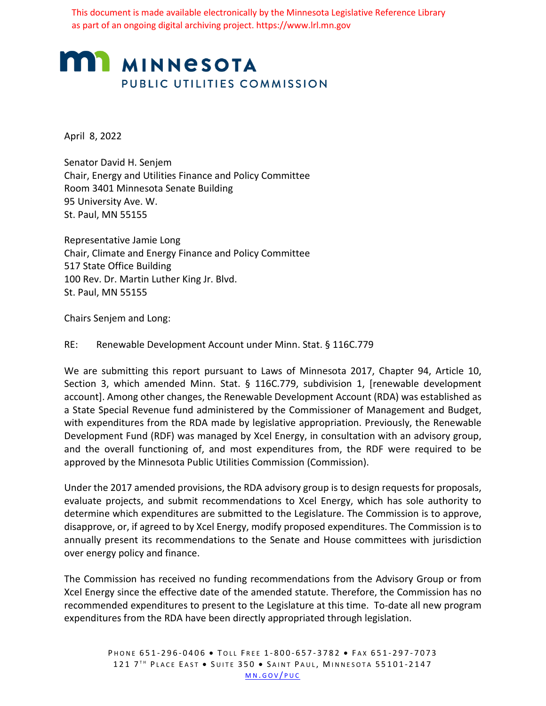This document is made available electronically by the Minnesota Legislative Reference Library as part of an ongoing digital archiving project. https://www.lrl.mn.gov

# **MI MINNESOTA** PUBLIC UTILITIES COMMISSION

April 8, 2022

Senator David H. Senjem Chair, Energy and Utilities Finance and Policy Committee Room 3401 Minnesota Senate Building 95 University Ave. W. St. Paul, MN 55155

Representative Jamie Long Chair, Climate and Energy Finance and Policy Committee 517 State Office Building 100 Rev. Dr. Martin Luther King Jr. Blvd. St. Paul, MN 55155

Chairs Senjem and Long:

### RE: Renewable Development Account under Minn. Stat. § 116C.779

We are submitting this report pursuant to Laws of Minnesota 2017, Chapter 94, Article 10, Section 3, which amended Minn. Stat. § 116C.779, subdivision 1, [renewable development account]. Among other changes, the Renewable Development Account (RDA) was established as a State Special Revenue fund administered by the Commissioner of Management and Budget, with expenditures from the RDA made by legislative appropriation. Previously, the Renewable Development Fund (RDF) was managed by Xcel Energy, in consultation with an advisory group, and the overall functioning of, and most expenditures from, the RDF were required to be approved by the Minnesota Public Utilities Commission (Commission).

Under the 2017 amended provisions, the RDA advisory group is to design requests for proposals, evaluate projects, and submit recommendations to Xcel Energy, which has sole authority to determine which expenditures are submitted to the Legislature. The Commission is to approve, disapprove, or, if agreed to by Xcel Energy, modify proposed expenditures. The Commission is to annually present its recommendations to the Senate and House committees with jurisdiction over energy policy and finance.

The Commission has received no funding recommendations from the Advisory Group or from Xcel Energy since the effective date of the amended statute. Therefore, the Commission has no recommended expenditures to present to the Legislature at this time. To-date all new program expenditures from the RDA have been directly appropriated through legislation.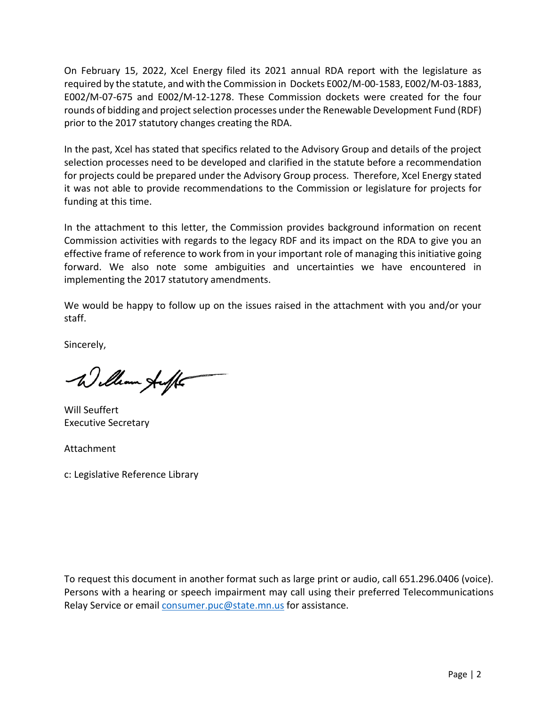On February 15, 2022, Xcel Energy filed its 2021 annual RDA report with the legislature as required by the statute, and with the Commission in Dockets E002/M-00-1583, E002/M-03-1883, E002/M-07-675 and E002/M-12-1278. These Commission dockets were created for the four rounds of bidding and project selection processes under the Renewable Development Fund (RDF) prior to the 2017 statutory changes creating the RDA.

In the past, Xcel has stated that specifics related to the Advisory Group and details of the project selection processes need to be developed and clarified in the statute before a recommendation for projects could be prepared under the Advisory Group process. Therefore, Xcel Energy stated it was not able to provide recommendations to the Commission or legislature for projects for funding at this time.

In the attachment to this letter, the Commission provides background information on recent Commission activities with regards to the legacy RDF and its impact on the RDA to give you an effective frame of reference to work from in your important role of managing this initiative going forward. We also note some ambiguities and uncertainties we have encountered in implementing the 2017 statutory amendments.

We would be happy to follow up on the issues raised in the attachment with you and/or your staff.

Sincerely,

William Auff

Will Seuffert Executive Secretary

Attachment

c: Legislative Reference Library

To request this document in another format such as large print or audio, call 651.296.0406 (voice). Persons with a hearing or speech impairment may call using their preferred Telecommunications Relay Service or email [consumer.puc@state.mn.us](mailto:consumer.puc@state.mn.us) for assistance.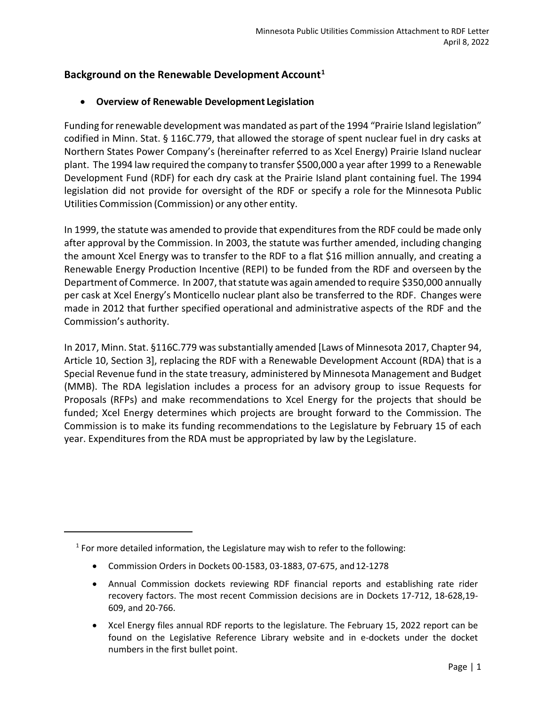# **Background on the Renewable Development Account[1](#page-2-0)**

# • **Overview of Renewable Development Legislation**

Funding for renewable development was mandated as part of the 1994 "Prairie Island legislation" codified in Minn. Stat. § 116C.779, that allowed the storage of spent nuclear fuel in dry casks at Northern States Power Company's (hereinafter referred to as Xcel Energy) Prairie Island nuclear plant. The 1994 law required the company to transfer \$500,000 a year after 1999 to a Renewable Development Fund (RDF) for each dry cask at the Prairie Island plant containing fuel. The 1994 legislation did not provide for oversight of the RDF or specify a role for the Minnesota Public Utilities Commission (Commission) or any other entity.

In 1999, the statute was amended to provide that expenditures from the RDF could be made only after approval by the Commission. In 2003, the statute was further amended, including changing the amount Xcel Energy was to transfer to the RDF to a flat \$16 million annually, and creating a Renewable Energy Production Incentive (REPI) to be funded from the RDF and overseen by the Department of Commerce. In 2007, that statute was again amended to require \$350,000 annually per cask at Xcel Energy's Monticello nuclear plant also be transferred to the RDF. Changes were made in 2012 that further specified operational and administrative aspects of the RDF and the Commission's authority.

In 2017, Minn. Stat. §116C.779 was substantially amended [Laws of Minnesota 2017, Chapter 94, Article 10, Section 3], replacing the RDF with a Renewable Development Account (RDA) that is a Special Revenue fund in the state treasury, administered by Minnesota Management and Budget (MMB). The RDA legislation includes a process for an advisory group to issue Requests for Proposals (RFPs) and make recommendations to Xcel Energy for the projects that should be funded; Xcel Energy determines which projects are brought forward to the Commission. The Commission is to make its funding recommendations to the Legislature by February 15 of each year. Expenditures from the RDA must be appropriated by law by the Legislature.

<span id="page-2-0"></span> $1$  For more detailed information, the Legislature may wish to refer to the following:

<sup>•</sup> Commission Orders in Dockets 00-1583, 03-1883, 07-675, and12-1278

<sup>•</sup> Annual Commission dockets reviewing RDF financial reports and establishing rate rider recovery factors. The most recent Commission decisions are in Dockets 17-712, 18-628,19- 609, and 20-766.

<sup>•</sup> Xcel Energy files annual RDF reports to the legislature. The February 15, 2022 report can be found on the Legislative Reference Library website and in e-dockets under the docket numbers in the first bullet point.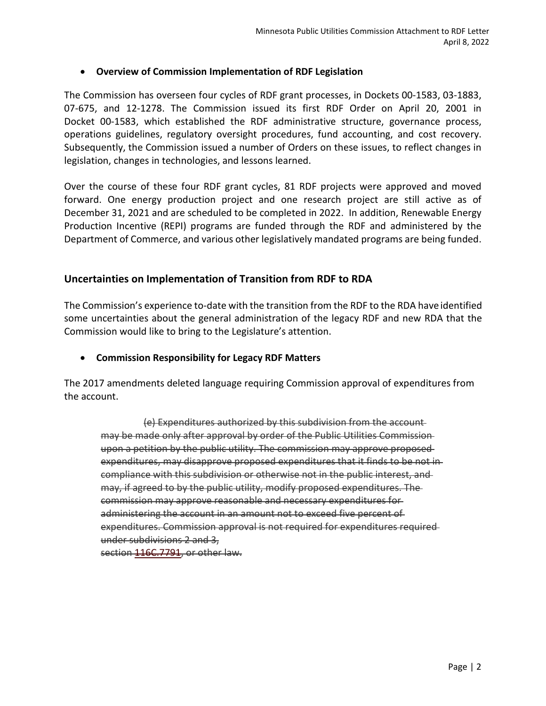## • **Overview of Commission Implementation of RDF Legislation**

The Commission has overseen four cycles of RDF grant processes, in Dockets 00-1583, 03-1883, 07-675, and 12-1278. The Commission issued its first RDF Order on April 20, 2001 in Docket 00-1583, which established the RDF administrative structure, governance process, operations guidelines, regulatory oversight procedures, fund accounting, and cost recovery. Subsequently, the Commission issued a number of Orders on these issues, to reflect changes in legislation, changes in technologies, and lessons learned.

Over the course of these four RDF grant cycles, 81 RDF projects were approved and moved forward. One energy production project and one research project are still active as of December 31, 2021 and are scheduled to be completed in 2022. In addition, Renewable Energy Production Incentive (REPI) programs are funded through the RDF and administered by the Department of Commerce, and various other legislatively mandated programs are being funded.

## **Uncertainties on Implementation of Transition from RDF to RDA**

The Commission's experience to-date with the transition from the RDF to the RDA have identified some uncertainties about the general administration of the legacy RDF and new RDA that the Commission would like to bring to the Legislature's attention.

#### • **Commission Responsibility for Legacy RDF Matters**

The 2017 amendments deleted language requiring Commission approval of expenditures from the account.

(e) Expenditures authorized by this subdivision from the account may be made only after approval by order of the Public Utilities Commission upon a petition by the public utility. The commission may approve proposed expenditures, may disapprove proposed expenditures that it finds to be not in compliance with this subdivision or otherwise not in the public interest, and may, if agreed to by the public utility, modify proposed expenditures. The commission may approve reasonable and necessary expenditures for administering the account in an amount not to exceed five percent of expenditures. Commission approval is not required for expenditures required under subdivisions 2 and 3,

section [116C.7791,](https://www.revisor.mn.gov/statutes/?id=116C.7791) or other law.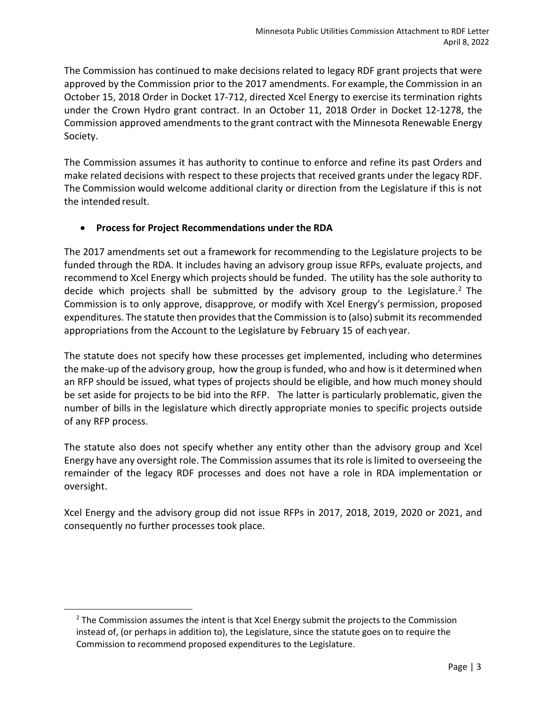The Commission has continued to make decisions related to legacy RDF grant projects that were approved by the Commission prior to the 2017 amendments. For example, the Commission in an October 15, 2018 Order in Docket 17-712, directed Xcel Energy to exercise its termination rights under the Crown Hydro grant contract. In an October 11, 2018 Order in Docket 12-1278, the Commission approved amendments to the grant contract with the Minnesota Renewable Energy Society.

The Commission assumes it has authority to continue to enforce and refine its past Orders and make related decisions with respect to these projects that received grants under the legacy RDF. The Commission would welcome additional clarity or direction from the Legislature if this is not the intended result.

# • **Process for Project Recommendations under the RDA**

The 2017 amendments set out a framework for recommending to the Legislature projects to be funded through the RDA. It includes having an advisory group issue RFPs, evaluate projects, and recommend to Xcel Energy which projects should be funded. The utility has the sole authority to decide which projects shall be submitted by the advisory group to the Legislature.<sup>[2](#page-4-0)</sup> The Commission is to only approve, disapprove, or modify with Xcel Energy's permission, proposed expenditures. The statute then provides that the Commission is to (also) submit its recommended appropriations from the Account to the Legislature by February 15 of eachyear.

The statute does not specify how these processes get implemented, including who determines the make-up of the advisory group, how the group is funded, who and how is it determined when an RFP should be issued, what types of projects should be eligible, and how much money should be set aside for projects to be bid into the RFP. The latter is particularly problematic, given the number of bills in the legislature which directly appropriate monies to specific projects outside of any RFP process.

The statute also does not specify whether any entity other than the advisory group and Xcel Energy have any oversight role. The Commission assumes that its role is limited to overseeing the remainder of the legacy RDF processes and does not have a role in RDA implementation or oversight.

Xcel Energy and the advisory group did not issue RFPs in 2017, 2018, 2019, 2020 or 2021, and consequently no further processes took place.

<span id="page-4-0"></span> $<sup>2</sup>$  The Commission assumes the intent is that Xcel Energy submit the projects to the Commission</sup> instead of, (or perhaps in addition to), the Legislature, since the statute goes on to require the Commission to recommend proposed expenditures to the Legislature.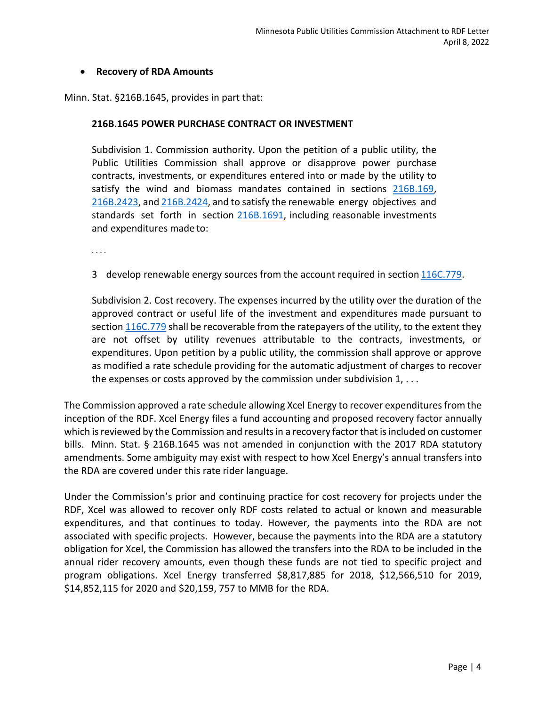### • **Recovery of RDA Amounts**

Minn. Stat. §216B.1645, provides in part that:

#### **216B.1645 POWER PURCHASE CONTRACT OR INVESTMENT**

Subdivision 1. Commission authority. Upon the petition of a public utility, the Public Utilities Commission shall approve or disapprove power purchase contracts, investments, or expenditures entered into or made by the utility to satisfy the wind and biomass mandates contained in sections [216B.169,](https://www.revisor.mn.gov/statutes/cite/216B.169) [216B.2423,](https://www.revisor.mn.gov/statutes/cite/216B.2423) and [216B.2424,](https://www.revisor.mn.gov/statutes/cite/216B.2424) and to satisfy the renewable energy objectives and standards set forth in section [216B.1691,](https://www.revisor.mn.gov/statutes/cite/216B.1691) including reasonable investments and expenditures made to:

. . . .

3 develop renewable energy sources from the account required in section [116C.779.](https://www.revisor.mn.gov/statutes/cite/116C.779)

Subdivision 2. Cost recovery. The expenses incurred by the utility over the duration of the approved contract or useful life of the investment and expenditures made pursuant to sectio[n 116C.779](https://www.revisor.mn.gov/statutes/cite/116C.779) shall be recoverable from the ratepayers of the utility, to the extent they are not offset by utility revenues attributable to the contracts, investments, or expenditures. Upon petition by a public utility, the commission shall approve or approve as modified a rate schedule providing for the automatic adjustment of charges to recover the expenses or costs approved by the commission under subdivision 1, . . .

The Commission approved a rate schedule allowing Xcel Energy to recover expendituresfrom the inception of the RDF. Xcel Energy files a fund accounting and proposed recovery factor annually which is reviewed by the Commission and results in a recovery factor that is included on customer bills. Minn. Stat. § 216B.1645 was not amended in conjunction with the 2017 RDA statutory amendments. Some ambiguity may exist with respect to how Xcel Energy's annual transfers into the RDA are covered under this rate rider language.

Under the Commission's prior and continuing practice for cost recovery for projects under the RDF, Xcel was allowed to recover only RDF costs related to actual or known and measurable expenditures, and that continues to today. However, the payments into the RDA are not associated with specific projects. However, because the payments into the RDA are a statutory obligation for Xcel, the Commission has allowed the transfers into the RDA to be included in the annual rider recovery amounts, even though these funds are not tied to specific project and program obligations. Xcel Energy transferred \$8,817,885 for 2018, \$12,566,510 for 2019, \$14,852,115 for 2020 and \$20,159, 757 to MMB for the RDA.